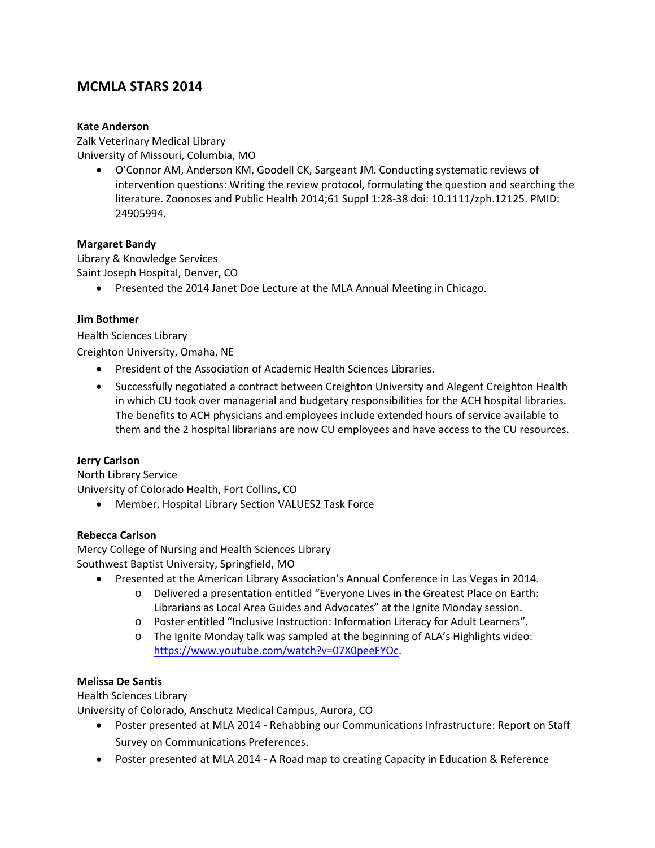# **MCMLA STARS 2014**

#### **Kate Anderson**

Zalk Veterinary Medical Library University of Missouri, Columbia, MO

> O'Connor AM, Anderson KM, Goodell CK, Sargeant JM. Conducting systematic reviews of intervention questions: Writing the review protocol, formulating the question and searching the literature. Zoonoses and Public Health 2014;61 Suppl 1:28‐38 doi: 10.1111/zph.12125. PMID: 24905994.

#### **Margaret Bandy**

Library & Knowledge Services Saint Joseph Hospital, Denver, CO

Presented the 2014 Janet Doe Lecture at the MLA Annual Meeting in Chicago.

#### **Jim Bothmer**

Health Sciences Library

Creighton University, Omaha, NE

- President of the Association of Academic Health Sciences Libraries.
- Successfully negotiated a contract between Creighton University and Alegent Creighton Health in which CU took over managerial and budgetary responsibilities for the ACH hospital libraries. The benefits to ACH physicians and employees include extended hours of service available to them and the 2 hospital librarians are now CU employees and have access to the CU resources.

#### **Jerry Carlson**

North Library Service University of Colorado Health, Fort Collins, CO

Member, Hospital Library Section VALUES2 Task Force

# **Rebecca Carlson**

Mercy College of Nursing and Health Sciences Library Southwest Baptist University, Springfield, MO

- Presented at the American Library Association's Annual Conference in Las Vegas in 2014.
	- o Delivered a presentation entitled "Everyone Lives in the Greatest Place on Earth: Librarians as Local Area Guides and Advocates" at the Ignite Monday session.
	- o Poster entitled "Inclusive Instruction: Information Literacy for Adult Learners".
	- o The Ignite Monday talk was sampled at the beginning of ALA's Highlights video: https://www.youtube.com/watch?v=07X0peeFYOc.

# **Melissa De Santis**

Health Sciences Library

University of Colorado, Anschutz Medical Campus, Aurora, CO

- Poster presented at MLA 2014 Rehabbing our Communications Infrastructure: Report on Staff Survey on Communications Preferences.
- Poster presented at MLA 2014 A Road map to creating Capacity in Education & Reference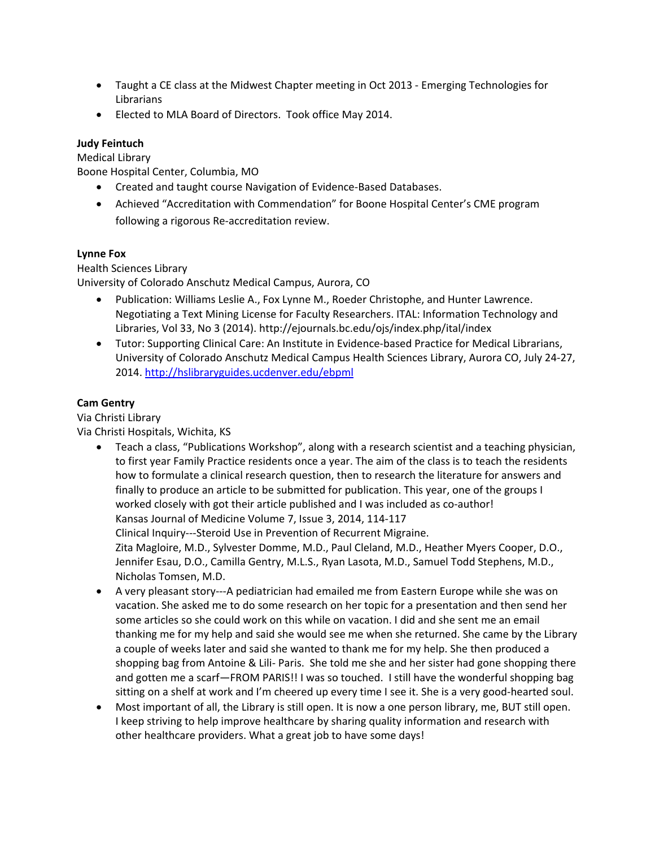- Taught a CE class at the Midwest Chapter meeting in Oct 2013 ‐ Emerging Technologies for Librarians
- Elected to MLA Board of Directors. Took office May 2014.

# **Judy Feintuch**

Medical Library

Boone Hospital Center, Columbia, MO

- Created and taught course Navigation of Evidence-Based Databases.
- Achieved "Accreditation with Commendation" for Boone Hospital Center's CME program following a rigorous Re‐accreditation review.

# **Lynne Fox**

Health Sciences Library University of Colorado Anschutz Medical Campus, Aurora, CO

- Publication: Williams Leslie A., Fox Lynne M., Roeder Christophe, and Hunter Lawrence. Negotiating a Text Mining License for Faculty Researchers. ITAL: Information Technology and
- Libraries, Vol 33, No 3 (2014). http://ejournals.bc.edu/ojs/index.php/ital/index ● Tutor: Supporting Clinical Care: An Institute in Evidence-based Practice for Medical Librarians, University of Colorado Anschutz Medical Campus Health Sciences Library, Aurora CO, July 24‐27, 2014. http://hslibraryguides.ucdenver.edu/ebpml

# **Cam Gentry**

Via Christi Library Via Christi Hospitals, Wichita, KS

- Teach a class, "Publications Workshop", along with a research scientist and a teaching physician, to first year Family Practice residents once a year. The aim of the class is to teach the residents how to formulate a clinical research question, then to research the literature for answers and finally to produce an article to be submitted for publication. This year, one of the groups I worked closely with got their article published and I was included as co-author! Kansas Journal of Medicine Volume 7, Issue 3, 2014, 114‐117 Clinical Inquiry‐‐‐Steroid Use in Prevention of Recurrent Migraine. Zita Magloire, M.D., Sylvester Domme, M.D., Paul Cleland, M.D., Heather Myers Cooper, D.O., Jennifer Esau, D.O., Camilla Gentry, M.L.S., Ryan Lasota, M.D., Samuel Todd Stephens, M.D., Nicholas Tomsen, M.D.
- A very pleasant story---A pediatrician had emailed me from Eastern Europe while she was on vacation. She asked me to do some research on her topic for a presentation and then send her some articles so she could work on this while on vacation. I did and she sent me an email thanking me for my help and said she would see me when she returned. She came by the Library a couple of weeks later and said she wanted to thank me for my help. She then produced a shopping bag from Antoine & Lili‐ Paris. She told me she and her sister had gone shopping there and gotten me a scarf—FROM PARIS!! I was so touched. I still have the wonderful shopping bag sitting on a shelf at work and I'm cheered up every time I see it. She is a very good-hearted soul.
- Most important of all, the Library is still open. It is now a one person library, me, BUT still open. I keep striving to help improve healthcare by sharing quality information and research with other healthcare providers. What a great job to have some days!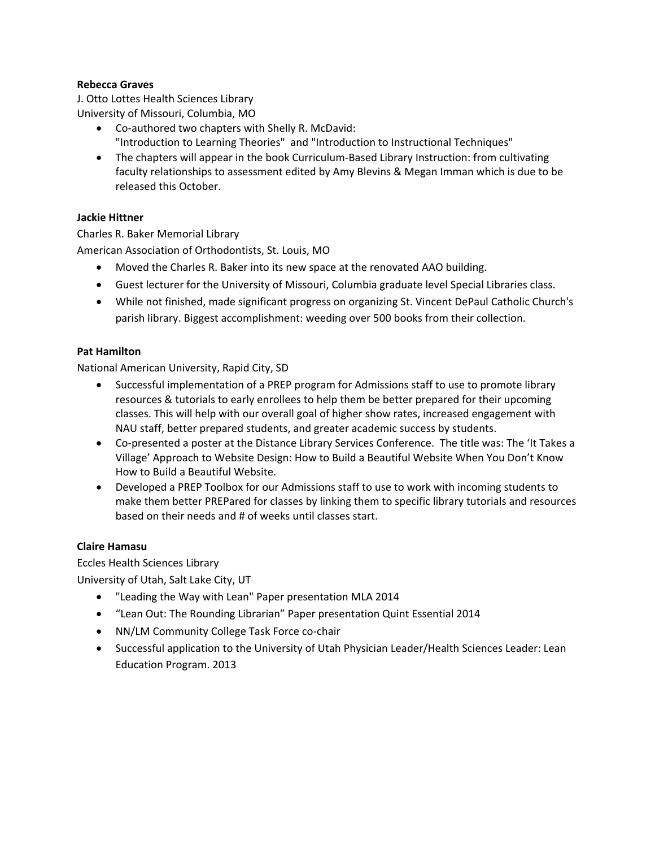#### **Rebecca Graves**

J. Otto Lottes Health Sciences Library University of Missouri, Columbia, MO

- Co-authored two chapters with Shelly R. McDavid: "Introduction to Learning Theories" and "Introduction to Instructional Techniques"
- The chapters will appear in the book Curriculum-Based Library Instruction: from cultivating faculty relationships to assessment edited by Amy Blevins & Megan Imman which is due to be released this October.

#### **Jackie Hittner**

Charles R. Baker Memorial Library American Association of Orthodontists, St. Louis, MO

- Moved the Charles R. Baker into its new space at the renovated AAO building.
- Guest lecturer for the University of Missouri, Columbia graduate level Special Libraries class.
- While not finished, made significant progress on organizing St. Vincent DePaul Catholic Church's parish library. Biggest accomplishment: weeding over 500 books from their collection.

#### **Pat Hamilton**

National American University, Rapid City, SD

- Successful implementation of a PREP program for Admissions staff to use to promote library resources & tutorials to early enrollees to help them be better prepared for their upcoming classes. This will help with our overall goal of higher show rates, increased engagement with NAU staff, better prepared students, and greater academic success by students.
- Co-presented a poster at the Distance Library Services Conference. The title was: The 'It Takes a Village' Approach to Website Design: How to Build a Beautiful Website When You Don't Know How to Build a Beautiful Website.
- Developed a PREP Toolbox for our Admissions staff to use to work with incoming students to make them better PREPared for classes by linking them to specific library tutorials and resources based on their needs and # of weeks until classes start.

#### **Claire Hamasu**

Eccles Health Sciences Library

University of Utah, Salt Lake City, UT

- "Leading the Way with Lean" Paper presentation MLA 2014
- "Lean Out: The Rounding Librarian" Paper presentation Quint Essential 2014
- NN/LM Community College Task Force co-chair
- Successful application to the University of Utah Physician Leader/Health Sciences Leader: Lean Education Program. 2013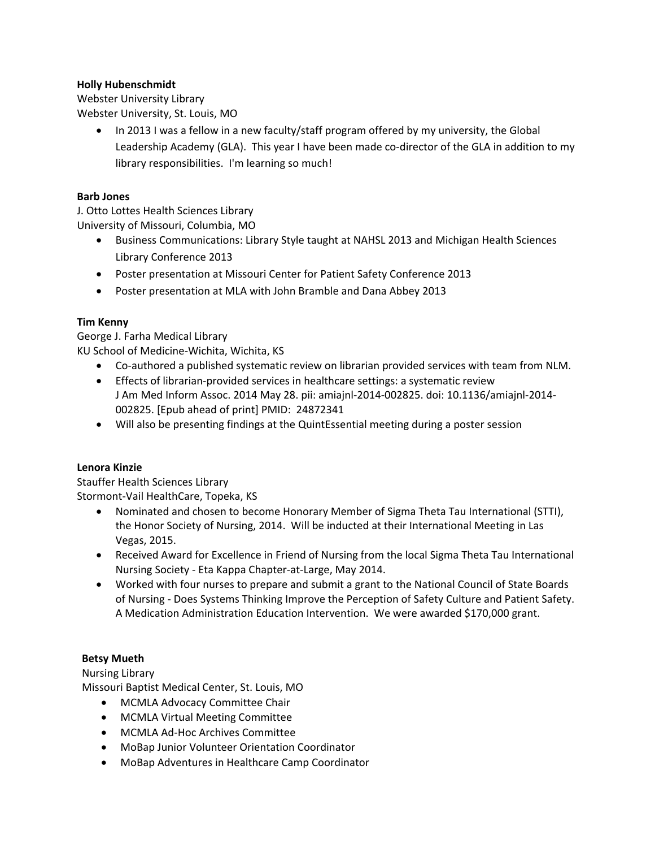#### **Holly Hubenschmidt**

Webster University Library Webster University, St. Louis, MO

> • In 2013 I was a fellow in a new faculty/staff program offered by my university, the Global Leadership Academy (GLA). This year I have been made co-director of the GLA in addition to my library responsibilities. I'm learning so much!

#### **Barb Jones**

J. Otto Lottes Health Sciences Library University of Missouri, Columbia, MO

- Business Communications: Library Style taught at NAHSL 2013 and Michigan Health Sciences Library Conference 2013
- Poster presentation at Missouri Center for Patient Safety Conference 2013
- Poster presentation at MLA with John Bramble and Dana Abbey 2013

# **Tim Kenny**

George J. Farha Medical Library KU School of Medicine‐Wichita, Wichita, KS

- Co-authored a published systematic review on librarian provided services with team from NLM.
- Effects of librarian‐provided services in healthcare settings: a systematic review J Am Med Inform Assoc. 2014 May 28. pii: amiajnl‐2014‐002825. doi: 10.1136/amiajnl‐2014‐ 002825. [Epub ahead of print] PMID: 24872341
- Will also be presenting findings at the QuintEssential meeting during a poster session

# **Lenora Kinzie**

Stauffer Health Sciences Library Stormont‐Vail HealthCare, Topeka, KS

- Nominated and chosen to become Honorary Member of Sigma Theta Tau International (STTI), the Honor Society of Nursing, 2014. Will be inducted at their International Meeting in Las Vegas, 2015.
- Received Award for Excellence in Friend of Nursing from the local Sigma Theta Tau International Nursing Society ‐ Eta Kappa Chapter‐at‐Large, May 2014.
- Worked with four nurses to prepare and submit a grant to the National Council of State Boards of Nursing ‐ Does Systems Thinking Improve the Perception of Safety Culture and Patient Safety. A Medication Administration Education Intervention. We were awarded \$170,000 grant.

#### **Betsy Mueth**

Nursing Library

Missouri Baptist Medical Center, St. Louis, MO

- MCMLA Advocacy Committee Chair
- MCMLA Virtual Meeting Committee
- MCMLA Ad-Hoc Archives Committee
- MoBap Junior Volunteer Orientation Coordinator
- MoBap Adventures in Healthcare Camp Coordinator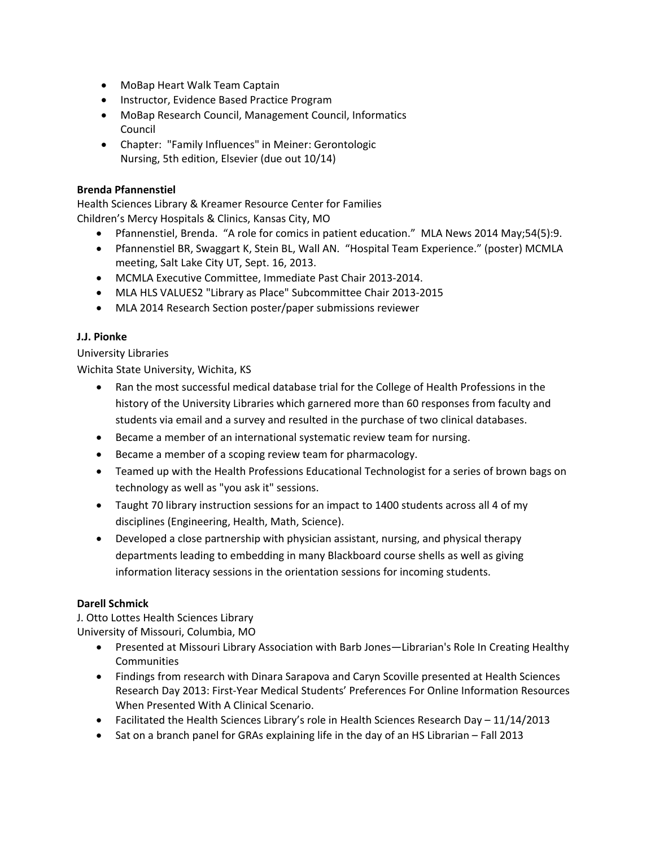- MoBap Heart Walk Team Captain
- Instructor, Evidence Based Practice Program
- MoBap Research Council, Management Council, Informatics Council
- Chapter: "Family Influences" in Meiner: Gerontologic Nursing, 5th edition, Elsevier (due out 10/14)

#### **Brenda Pfannenstiel**

Health Sciences Library & Kreamer Resource Center for Families Children's Mercy Hospitals & Clinics, Kansas City, MO

- Pfannenstiel, Brenda. "A role for comics in patient education." MLA News 2014 May;54(5):9.
- Pfannenstiel BR, Swaggart K, Stein BL, Wall AN. "Hospital Team Experience." (poster) MCMLA meeting, Salt Lake City UT, Sept. 16, 2013.
- MCMLA Executive Committee, Immediate Past Chair 2013‐2014.
- MLA HLS VALUES2 "Library as Place" Subcommittee Chair 2013‐2015
- MLA 2014 Research Section poster/paper submissions reviewer

#### **J.J. Pionke**

University Libraries

Wichita State University, Wichita, KS

- Ran the most successful medical database trial for the College of Health Professions in the history of the University Libraries which garnered more than 60 responses from faculty and students via email and a survey and resulted in the purchase of two clinical databases.
- Became a member of an international systematic review team for nursing.
- Became a member of a scoping review team for pharmacology.
- Teamed up with the Health Professions Educational Technologist for a series of brown bags on technology as well as "you ask it" sessions.
- Taught 70 library instruction sessions for an impact to 1400 students across all 4 of my disciplines (Engineering, Health, Math, Science).
- Developed a close partnership with physician assistant, nursing, and physical therapy departments leading to embedding in many Blackboard course shells as well as giving information literacy sessions in the orientation sessions for incoming students.

# **Darell Schmick**

J. Otto Lottes Health Sciences Library University of Missouri, Columbia, MO

- Presented at Missouri Library Association with Barb Jones—Librarian's Role In Creating Healthy **Communities**
- Findings from research with Dinara Sarapova and Caryn Scoville presented at Health Sciences Research Day 2013: First‐Year Medical Students' Preferences For Online Information Resources When Presented With A Clinical Scenario.
- Facilitated the Health Sciences Library's role in Health Sciences Research Day 11/14/2013
- Sat on a branch panel for GRAs explaining life in the day of an HS Librarian Fall 2013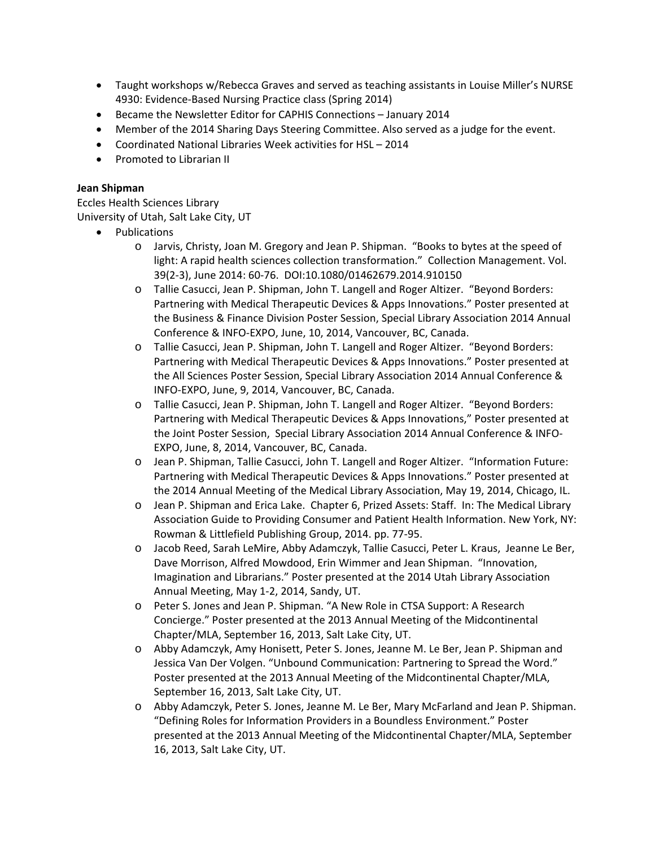- Taught workshops w/Rebecca Graves and served as teaching assistants in Louise Miller's NURSE 4930: Evidence-Based Nursing Practice class (Spring 2014)
- Became the Newsletter Editor for CAPHIS Connections January 2014
- Member of the 2014 Sharing Days Steering Committee. Also served as a judge for the event.
- Coordinated National Libraries Week activities for HSL 2014
- Promoted to Librarian II

#### **Jean Shipman**

Eccles Health Sciences Library University of Utah, Salt Lake City, UT

- Publications
	- o Jarvis, Christy, Joan M. Gregory and Jean P. Shipman. "Books to bytes at the speed of light: A rapid health sciences collection transformation." Collection Management. Vol. 39(2‐3), June 2014: 60‐76. DOI:10.1080/01462679.2014.910150
	- o Tallie Casucci, Jean P. Shipman, John T. Langell and Roger Altizer. "Beyond Borders: Partnering with Medical Therapeutic Devices & Apps Innovations." Poster presented at the Business & Finance Division Poster Session, Special Library Association 2014 Annual Conference & INFO‐EXPO, June, 10, 2014, Vancouver, BC, Canada.
	- o Tallie Casucci, Jean P. Shipman, John T. Langell and Roger Altizer. "Beyond Borders: Partnering with Medical Therapeutic Devices & Apps Innovations." Poster presented at the All Sciences Poster Session, Special Library Association 2014 Annual Conference & INFO‐EXPO, June, 9, 2014, Vancouver, BC, Canada.
	- o Tallie Casucci, Jean P. Shipman, John T. Langell and Roger Altizer. "Beyond Borders: Partnering with Medical Therapeutic Devices & Apps Innovations," Poster presented at the Joint Poster Session, Special Library Association 2014 Annual Conference & INFO‐ EXPO, June, 8, 2014, Vancouver, BC, Canada.
	- o Jean P. Shipman, Tallie Casucci, John T. Langell and Roger Altizer. "Information Future: Partnering with Medical Therapeutic Devices & Apps Innovations." Poster presented at the 2014 Annual Meeting of the Medical Library Association, May 19, 2014, Chicago, IL.
	- o Jean P. Shipman and Erica Lake. Chapter 6, Prized Assets: Staff. In: The Medical Library Association Guide to Providing Consumer and Patient Health Information. New York, NY: Rowman & Littlefield Publishing Group, 2014. pp. 77‐95.
	- o Jacob Reed, Sarah LeMire, Abby Adamczyk, Tallie Casucci, Peter L. Kraus, Jeanne Le Ber, Dave Morrison, Alfred Mowdood, Erin Wimmer and Jean Shipman. "Innovation, Imagination and Librarians." Poster presented at the 2014 Utah Library Association Annual Meeting, May 1‐2, 2014, Sandy, UT.
	- o Peter S. Jones and Jean P. Shipman. "A New Role in CTSA Support: A Research Concierge." Poster presented at the 2013 Annual Meeting of the Midcontinental Chapter/MLA, September 16, 2013, Salt Lake City, UT.
	- o Abby Adamczyk, Amy Honisett, Peter S. Jones, Jeanne M. Le Ber, Jean P. Shipman and Jessica Van Der Volgen. "Unbound Communication: Partnering to Spread the Word." Poster presented at the 2013 Annual Meeting of the Midcontinental Chapter/MLA, September 16, 2013, Salt Lake City, UT.
	- o Abby Adamczyk, Peter S. Jones, Jeanne M. Le Ber, Mary McFarland and Jean P. Shipman. "Defining Roles for Information Providers in a Boundless Environment." Poster presented at the 2013 Annual Meeting of the Midcontinental Chapter/MLA, September 16, 2013, Salt Lake City, UT.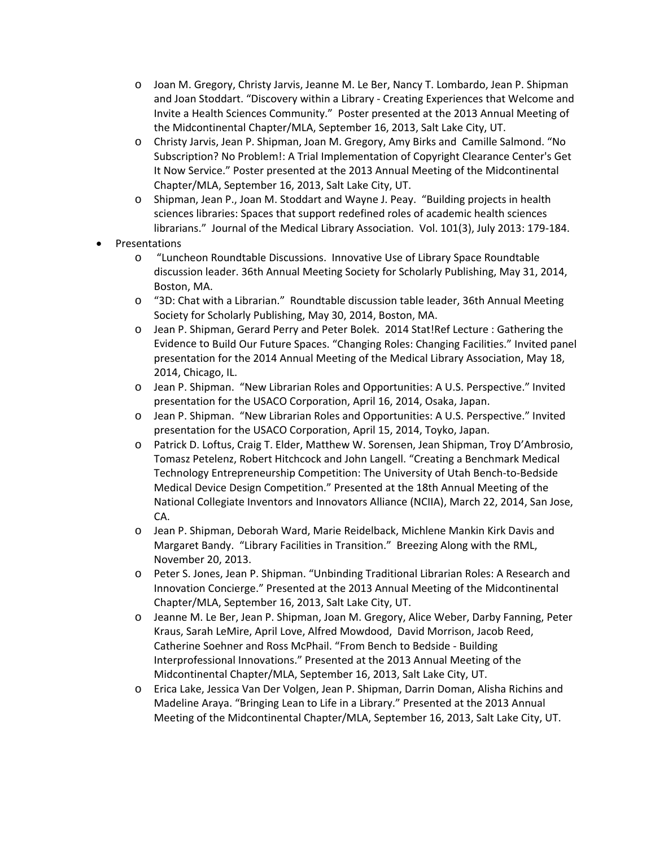- o Joan M. Gregory, Christy Jarvis, Jeanne M. Le Ber, Nancy T. Lombardo, Jean P. Shipman and Joan Stoddart. "Discovery within a Library ‐ Creating Experiences that Welcome and Invite a Health Sciences Community." Poster presented at the 2013 Annual Meeting of the Midcontinental Chapter/MLA, September 16, 2013, Salt Lake City, UT.
- o Christy Jarvis, Jean P. Shipman, Joan M. Gregory, Amy Birks and Camille Salmond. "No Subscription? No Problem!: A Trial Implementation of Copyright Clearance Center's Get It Now Service." Poster presented at the 2013 Annual Meeting of the Midcontinental Chapter/MLA, September 16, 2013, Salt Lake City, UT.
- o Shipman, Jean P., Joan M. Stoddart and Wayne J. Peay. "Building projects in health sciences libraries: Spaces that support redefined roles of academic health sciences librarians." Journal of the Medical Library Association. Vol. 101(3), July 2013: 179‐184.
- Presentations
	- o "Luncheon Roundtable Discussions. Innovative Use of Library Space Roundtable discussion leader. 36th Annual Meeting Society for Scholarly Publishing, May 31, 2014, Boston, MA.
	- o "3D: Chat with a Librarian." Roundtable discussion table leader, 36th Annual Meeting Society for Scholarly Publishing, May 30, 2014, Boston, MA.
	- o Jean P. Shipman, Gerard Perry and Peter Bolek. 2014 Stat!Ref Lecture : Gathering the Evidence to Build Our Future Spaces. "Changing Roles: Changing Facilities." Invited panel presentation for the 2014 Annual Meeting of the Medical Library Association, May 18, 2014, Chicago, IL.
	- o Jean P. Shipman. "New Librarian Roles and Opportunities: A U.S. Perspective." Invited presentation for the USACO Corporation, April 16, 2014, Osaka, Japan.
	- o Jean P. Shipman. "New Librarian Roles and Opportunities: A U.S. Perspective." Invited presentation for the USACO Corporation, April 15, 2014, Toyko, Japan.
	- o Patrick D. Loftus, Craig T. Elder, Matthew W. Sorensen, Jean Shipman, Troy D'Ambrosio, Tomasz Petelenz, Robert Hitchcock and John Langell. "Creating a Benchmark Medical Technology Entrepreneurship Competition: The University of Utah Bench‐to‐Bedside Medical Device Design Competition." Presented at the 18th Annual Meeting of the National Collegiate Inventors and Innovators Alliance (NCIIA), March 22, 2014, San Jose, CA.
	- o Jean P. Shipman, Deborah Ward, Marie Reidelback, Michlene Mankin Kirk Davis and Margaret Bandy. "Library Facilities in Transition." Breezing Along with the RML, November 20, 2013.
	- o Peter S. Jones, Jean P. Shipman. "Unbinding Traditional Librarian Roles: A Research and Innovation Concierge." Presented at the 2013 Annual Meeting of the Midcontinental Chapter/MLA, September 16, 2013, Salt Lake City, UT.
	- o Jeanne M. Le Ber, Jean P. Shipman, Joan M. Gregory, Alice Weber, Darby Fanning, Peter Kraus, Sarah LeMire, April Love, Alfred Mowdood, David Morrison, Jacob Reed, Catherine Soehner and Ross McPhail. "From Bench to Bedside ‐ Building Interprofessional Innovations." Presented at the 2013 Annual Meeting of the Midcontinental Chapter/MLA, September 16, 2013, Salt Lake City, UT.
	- o Erica Lake, Jessica Van Der Volgen, Jean P. Shipman, Darrin Doman, Alisha Richins and Madeline Araya. "Bringing Lean to Life in a Library." Presented at the 2013 Annual Meeting of the Midcontinental Chapter/MLA, September 16, 2013, Salt Lake City, UT.